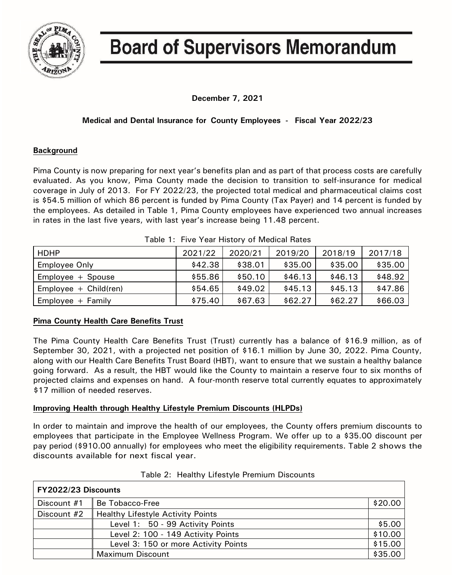

# **Board of Supervisors Memorandum**

**December 7, 2021**

## **Medical and Dental Insurance for County Employees - Fiscal Year 2022/23**

## **Background**

Pima County is now preparing for next year's benefits plan and as part of that process costs are carefully evaluated. As you know, Pima County made the decision to transition to self-insurance for medical coverage in July of 2013. For FY 2022/23, the projected total medical and pharmaceutical claims cost is \$54.5 million of which 86 percent is funded by Pima County (Tax Payer) and 14 percent is funded by the employees. As detailed in Table 1, Pima County employees have experienced two annual increases in rates in the last five years, with last year's increase being 11.48 percent.

| Table T. TIVE TEAL LIBROLY OF IVIEDICAL HARS |         |         |         |         |         |  |
|----------------------------------------------|---------|---------|---------|---------|---------|--|
| <b>HDHP</b>                                  | 2021/22 | 2020/21 | 2019/20 | 2018/19 | 2017/18 |  |
| <b>Employee Only</b>                         | \$42.38 | \$38.01 | \$35.00 | \$35.00 | \$35.00 |  |
| $Employee + Spouse$                          | \$55.86 | \$50.10 | \$46.13 | \$46.13 | \$48.92 |  |
| $Employee + Child (ren)$                     | \$54.65 | \$49.02 | \$45.13 | \$45.13 | \$47.86 |  |
| $Employee + Family$                          | \$75.40 | \$67.63 | \$62.27 | \$62.27 | \$66.03 |  |

Table 1: Five Year History of Medical Rates

## **Pima County Health Care Benefits Trust**

The Pima County Health Care Benefits Trust (Trust) currently has a balance of \$16.9 million, as of September 30, 2021, with a projected net position of \$16.1 million by June 30, 2022. Pima County, along with our Health Care Benefits Trust Board (HBT), want to ensure that we sustain a healthy balance going forward. As a result, the HBT would like the County to maintain a reserve four to six months of projected claims and expenses on hand. A four-month reserve total currently equates to approximately \$17 million of needed reserves.

## **Improving Health through Healthy Lifestyle Premium Discounts (HLPDs)**

In order to maintain and improve the health of our employees, the County offers premium discounts to employees that participate in the Employee Wellness Program. We offer up to a \$35.00 discount per pay period (\$910.00 annually) for employees who meet the eligibility requirements. Table 2 shows the discounts available for next fiscal year.

| FY2022/23 Discounts |                                          |         |
|---------------------|------------------------------------------|---------|
| Discount #1         | Be Tobacco-Free                          | \$20.00 |
| Discount #2         | <b>Healthy Lifestyle Activity Points</b> |         |
|                     | Level 1: 50 - 99 Activity Points         | \$5.00  |
|                     | Level 2: 100 - 149 Activity Points       | \$10.00 |
|                     | Level 3: 150 or more Activity Points     | \$15.00 |
|                     | <b>Maximum Discount</b>                  | \$35.00 |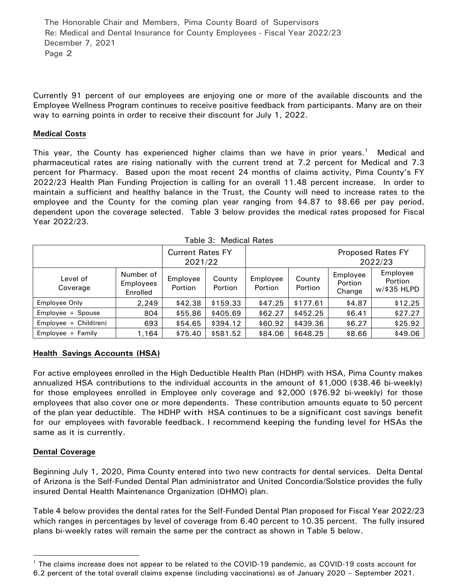The Honorable Chair and Members, Pima County Board of Supervisors Re: Medical and Dental Insurance for County Employees - Fiscal Year 2022/23 December 7, 2021 Page 2

Currently 91 percent of our employees are enjoying one or more of the available discounts and the Employee Wellness Program continues to receive positive feedback from participants. Many are on their way to earning points in order to receive their discount for July 1, 2022.

### **Medical Costs**

This year, the County has experienced higher claims than we have in prior years.<sup>[1](#page-1-0)</sup> Medical and pharmaceutical rates are rising nationally with the current trend at 7.2 percent for Medical and 7.3 percent for Pharmacy. Based upon the most recent 24 months of claims activity, Pima County's FY 2022/23 Health Plan Funding Projection is calling for an overall 11.48 percent increase. In order to maintain a sufficient and healthy balance in the Trust, the County will need to increase rates to the employee and the County for the coming plan year ranging from \$4.87 to \$8.66 per pay period, dependent upon the coverage selected. Table 3 below provides the medical rates proposed for Fiscal Year 2022/23.

| <b>Current Rates FY</b>  |                                    |                            |                                     |                            |                          |                               |                                           |
|--------------------------|------------------------------------|----------------------------|-------------------------------------|----------------------------|--------------------------|-------------------------------|-------------------------------------------|
|                          | 2021/22                            |                            | <b>Proposed Rates FY</b><br>2022/23 |                            |                          |                               |                                           |
| Level of<br>Coverage     | Number of<br>Employees<br>Enrolled | Employee<br><b>Portion</b> | County<br><b>Portion</b>            | Employee<br><b>Portion</b> | County<br><b>Portion</b> | Employee<br>Portion<br>Change | Employee<br><b>Portion</b><br>w/\$35 HLPD |
| Employee Only            | 2,249                              | \$42.38                    | \$159.33                            | \$47.25                    | \$177.61                 | \$4.87                        | \$12.25                                   |
| Employee + Spouse        | 804                                | \$55.86                    | \$405.69                            | \$62.27                    | \$452.25                 | \$6.41                        | \$27.27                                   |
| $Employee + Child (ren)$ | 693                                | \$54.65                    | \$394.12                            | \$60.92                    | \$439.36                 | \$6.27                        | \$25.92                                   |
| $Employee + Family$      | 1,164                              | \$75.40                    | \$581.52                            | \$84.06                    | \$648.25                 | \$8.66                        | \$49.06                                   |

Table 3: Medical Rates

### **Health Savings Accounts (HSA)**

For active employees enrolled in the High Deductible Health Plan (HDHP) with HSA, Pima County makes annualized HSA contributions to the individual accounts in the amount of \$1,000 (\$38.46 bi-weekly) for those employees enrolled in Employee only coverage and \$2,000 (\$76.92 bi-weekly) for those employees that also cover one or more dependents. These contribution amounts equate to 50 percent of the plan year deductible. The HDHP with HSA continues to be a significant cost savings benefit for our employees with favorable feedback. I recommend keeping the funding level for HSAs the same as it is currently.

### **Dental Coverage**

 $\overline{a}$ 

Beginning July 1, 2020, Pima County entered into two new contracts for dental services. Delta Dental of Arizona is the Self-Funded Dental Plan administrator and United Concordia/Solstice provides the fully insured Dental Health Maintenance Organization (DHMO) plan.

Table 4 below provides the dental rates for the Self-Funded Dental Plan proposed for Fiscal Year 2022/23 which ranges in percentages by level of coverage from 6.40 percent to 10.35 percent. The fully insured plans bi-weekly rates will remain the same per the contract as shown in Table 5 below.

<span id="page-1-0"></span><sup>&</sup>lt;sup>1</sup> The claims increase does not appear to be related to the COVID-19 pandemic, as COVID-19 costs account for

<sup>6.2</sup> percent of the total overall claims expense (including vaccinations) as of January 2020 – September 2021.